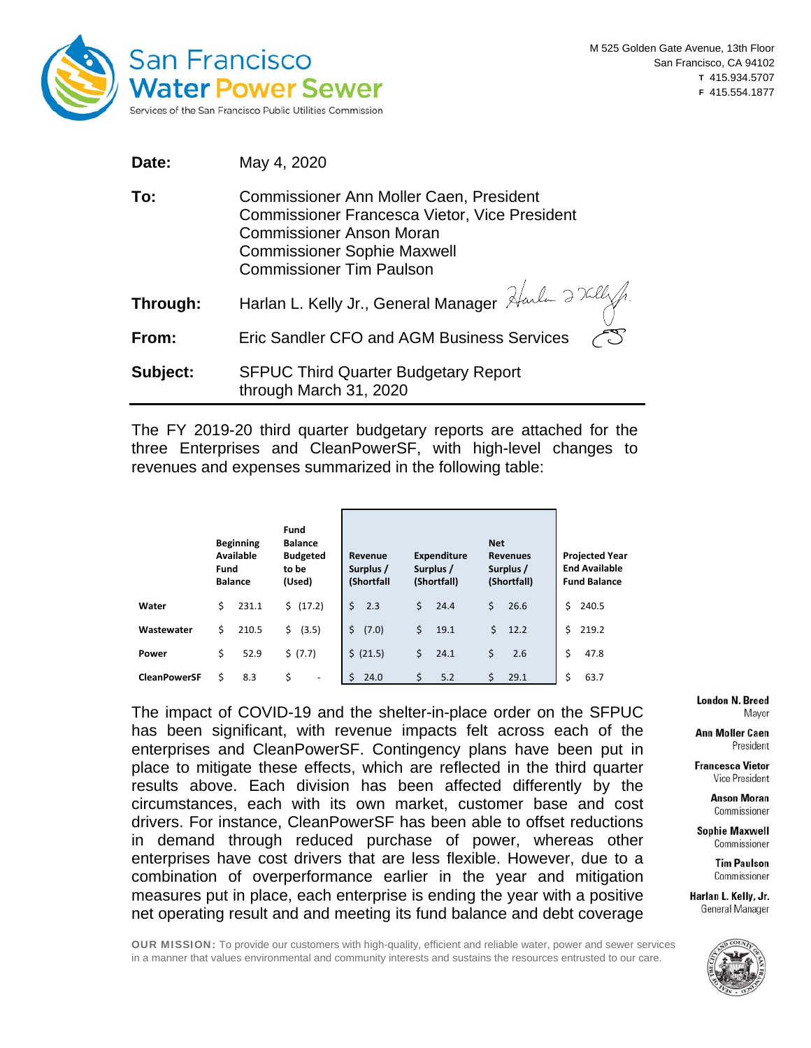

| Date:    | May 4, 2020                                                                                                                                                                                                 |
|----------|-------------------------------------------------------------------------------------------------------------------------------------------------------------------------------------------------------------|
| To:      | Commissioner Ann Moller Caen, President<br><b>Commissioner Francesca Vietor, Vice President</b><br><b>Commissioner Anson Moran</b><br><b>Commissioner Sophie Maxwell</b><br><b>Commissioner Tim Paulson</b> |
| Through: | Harlan L. Kelly Jr., General Manager Harland 2 Kill                                                                                                                                                         |
| From:    | Eric Sandler CFO and AGM Business Services                                                                                                                                                                  |
| Subject: | <b>SFPUC Third Quarter Budgetary Report</b><br>through March 31, 2020                                                                                                                                       |

The FY 2019-20 third quarter budgetary reports are attached for the three Enterprises and CleanPowerSF, with high-level changes to revenues and expenses summarized in the following table:

|                     | <b>Beginning</b><br>Available<br>Fund<br><b>Balance</b> | Fund<br><b>Balance</b><br><b>Budgeted</b><br>to be<br>(Used) | Revenue<br>Surplus /<br>(Shortfall |            | <b>Net</b><br><b>Revenues</b><br>Surplus /<br>(Shortfall) | <b>Projected Year</b><br><b>End Available</b><br><b>Fund Balance</b> |  |  |
|---------------------|---------------------------------------------------------|--------------------------------------------------------------|------------------------------------|------------|-----------------------------------------------------------|----------------------------------------------------------------------|--|--|
| Water               | \$<br>231.1                                             | \$ (17.2)                                                    | Ś.<br>2.3                          | Ś.<br>24.4 | \$<br>26.6                                                | Ś.<br>240.5                                                          |  |  |
| Wastewater          | \$<br>210.5                                             | \$<br>(3.5)                                                  | Ś.<br>(7.0)                        | \$<br>19.1 | \$<br>12.2                                                | Ś.<br>219.2                                                          |  |  |
| Power               | \$<br>52.9                                              | \$ (7.7)                                                     | \$ (21.5)                          | \$<br>24.1 | \$<br>2.6                                                 | \$<br>47.8                                                           |  |  |
| <b>CleanPowerSF</b> | 8.3<br>\$                                               | \$<br>$\qquad \qquad \blacksquare$                           | ς<br>24.0                          | Ś<br>5.2   | 29.1                                                      | \$<br>63.7                                                           |  |  |

The impact of COVID-19 and the shelter-in-place order on the SFPUC has been significant, with revenue impacts felt across each of the enterprises and CleanPowerSF. Contingency plans have been put in place to mitigate these effects, which are reflected in the third quarter results above. Each division has been affected differently by the circumstances, each with its own market, customer base and cost drivers. For instance, CleanPowerSF has been able to offset reductions in demand through reduced purchase of power, whereas other enterprises have cost drivers that are less flexible. However, due to a combination of overperformance earlier in the year and mitigation measures put in place, each enterprise is ending the year with a positive net operating result and and meeting its fund balance and debt coverage **London N. Breed** Mayor

**Ann Moller Caen** President

**Francesca Vietor** Vice President

> **Anson Moran** Commissioner

**Sophie Maxwell** Commissioner

> **Tim Paulson** Commissioner

Harlan L. Kelly, Jr. General Manager



OUR MISSION: To provide our customers with high-quality, efficient and reliable water, power and sewer services in a manner that values environmental and community interests and sustains the resources entrusted to our care.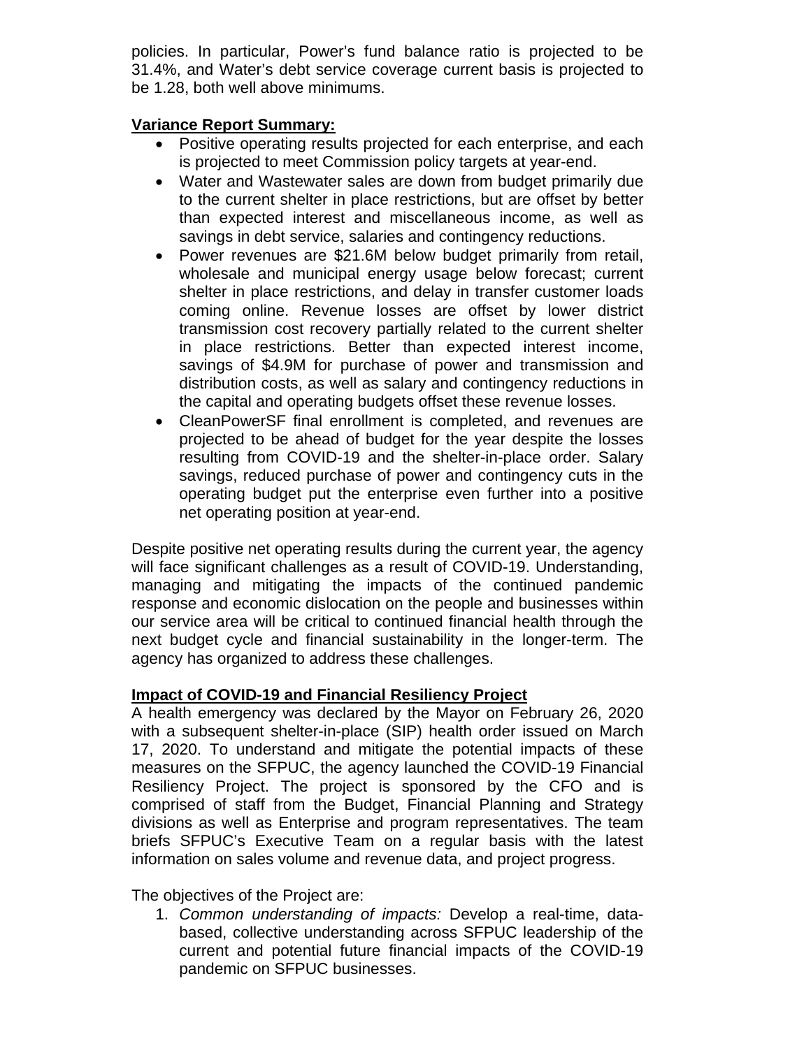policies. In particular, Power's fund balance ratio is projected to be 31.4%, and Water's debt service coverage current basis is projected to be 1.28, both well above minimums.

# **Variance Report Summary:**

- Positive operating results projected for each enterprise, and each is projected to meet Commission policy targets at year-end.
- Water and Wastewater sales are down from budget primarily due to the current shelter in place restrictions, but are offset by better than expected interest and miscellaneous income, as well as savings in debt service, salaries and contingency reductions.
- Power revenues are \$21.6M below budget primarily from retail, wholesale and municipal energy usage below forecast; current shelter in place restrictions, and delay in transfer customer loads coming online. Revenue losses are offset by lower district transmission cost recovery partially related to the current shelter in place restrictions. Better than expected interest income, savings of \$4.9M for purchase of power and transmission and distribution costs, as well as salary and contingency reductions in the capital and operating budgets offset these revenue losses.
- CleanPowerSF final enrollment is completed, and revenues are projected to be ahead of budget for the year despite the losses resulting from COVID-19 and the shelter-in-place order. Salary savings, reduced purchase of power and contingency cuts in the operating budget put the enterprise even further into a positive net operating position at year-end.

Despite positive net operating results during the current year, the agency will face significant challenges as a result of COVID-19. Understanding, managing and mitigating the impacts of the continued pandemic response and economic dislocation on the people and businesses within our service area will be critical to continued financial health through the next budget cycle and financial sustainability in the longer-term. The agency has organized to address these challenges.

# **Impact of COVID-19 and Financial Resiliency Project**

A health emergency was declared by the Mayor on February 26, 2020 with a subsequent shelter-in-place (SIP) health order issued on March 17, 2020. To understand and mitigate the potential impacts of these measures on the SFPUC, the agency launched the COVID-19 Financial Resiliency Project. The project is sponsored by the CFO and is comprised of staff from the Budget, Financial Planning and Strategy divisions as well as Enterprise and program representatives. The team briefs SFPUC's Executive Team on a regular basis with the latest information on sales volume and revenue data, and project progress.

The objectives of the Project are:

1. *Common understanding of impacts:* Develop a real-time, databased, collective understanding across SFPUC leadership of the current and potential future financial impacts of the COVID-19 pandemic on SFPUC businesses.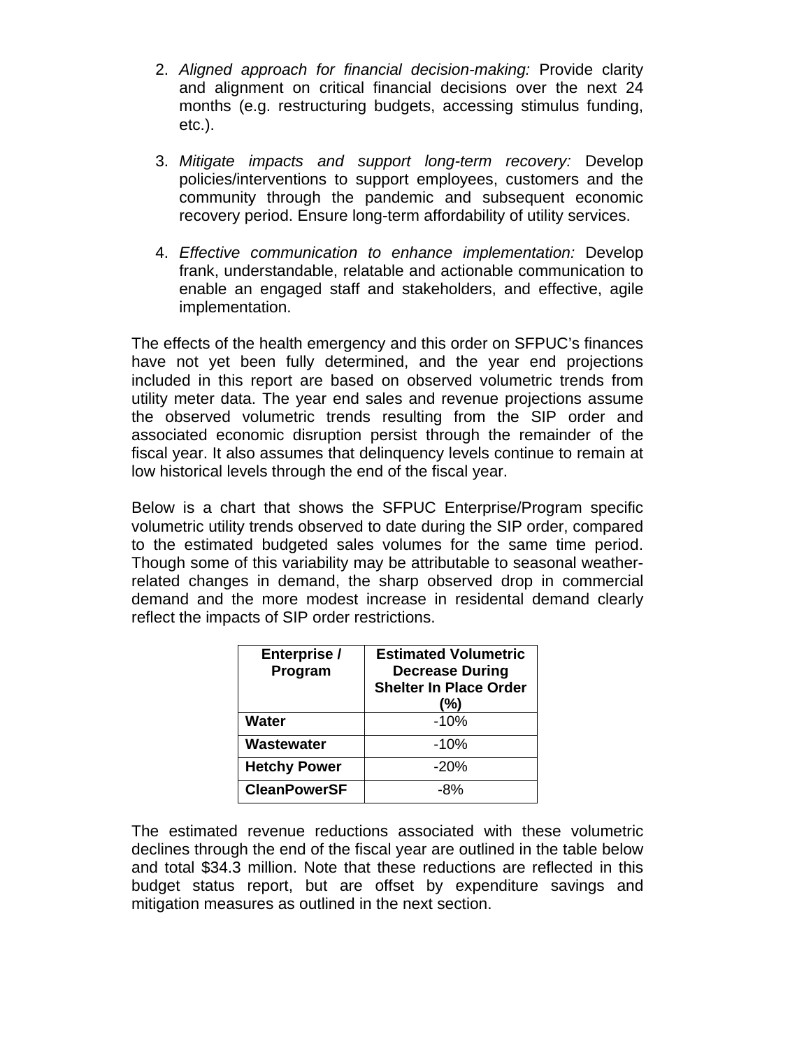- 2. *Aligned approach for financial decision-making:* Provide clarity and alignment on critical financial decisions over the next 24 months (e.g. restructuring budgets, accessing stimulus funding, etc.).
- 3. *Mitigate impacts and support long-term recovery:* Develop policies/interventions to support employees, customers and the community through the pandemic and subsequent economic recovery period. Ensure long-term affordability of utility services.
- 4. *Effective communication to enhance implementation:* Develop frank, understandable, relatable and actionable communication to enable an engaged staff and stakeholders, and effective, agile implementation.

The effects of the health emergency and this order on SFPUC's finances have not yet been fully determined, and the year end projections included in this report are based on observed volumetric trends from utility meter data. The year end sales and revenue projections assume the observed volumetric trends resulting from the SIP order and associated economic disruption persist through the remainder of the fiscal year. It also assumes that delinquency levels continue to remain at low historical levels through the end of the fiscal year.

Below is a chart that shows the SFPUC Enterprise/Program specific volumetric utility trends observed to date during the SIP order, compared to the estimated budgeted sales volumes for the same time period. Though some of this variability may be attributable to seasonal weatherrelated changes in demand, the sharp observed drop in commercial demand and the more modest increase in residental demand clearly reflect the impacts of SIP order restrictions.

| Enterprise /<br>Program | <b>Estimated Volumetric</b><br><b>Decrease During</b><br><b>Shelter In Place Order</b><br>(%) |
|-------------------------|-----------------------------------------------------------------------------------------------|
| <b>Water</b>            | $-10%$                                                                                        |
| Wastewater              | $-10%$                                                                                        |
| <b>Hetchy Power</b>     | $-20%$                                                                                        |
| <b>CleanPowerSF</b>     | -8%                                                                                           |

The estimated revenue reductions associated with these volumetric declines through the end of the fiscal year are outlined in the table below and total \$34.3 million. Note that these reductions are reflected in this budget status report, but are offset by expenditure savings and mitigation measures as outlined in the next section.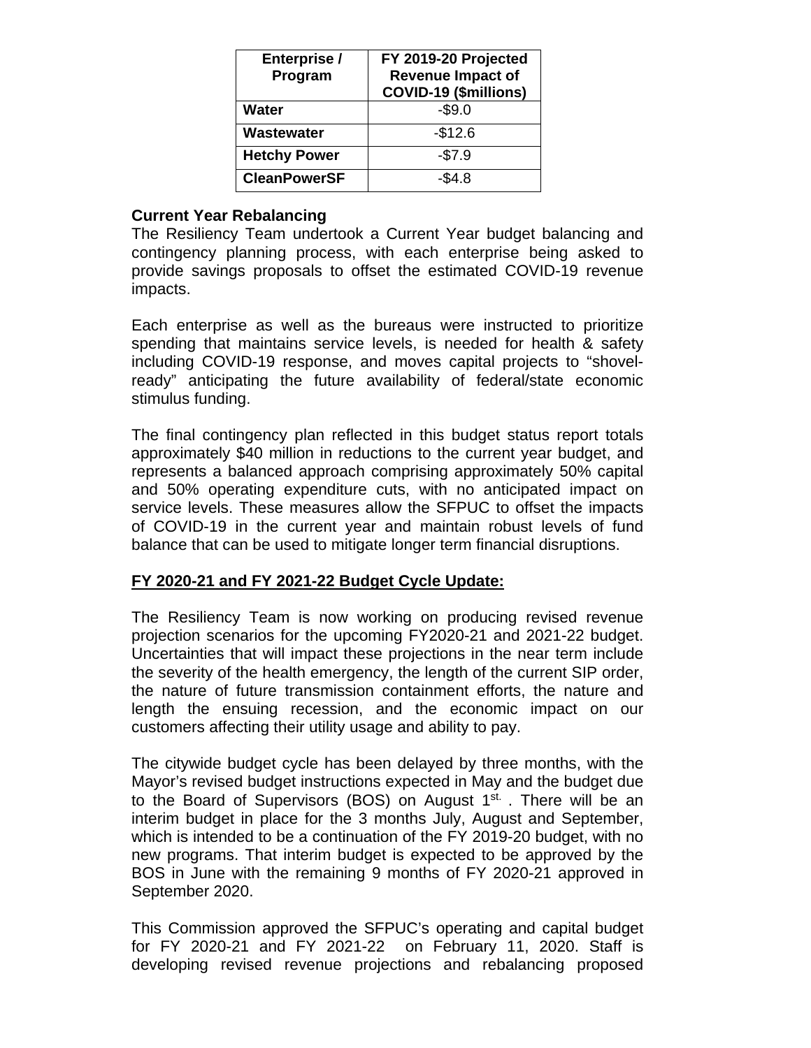| Enterprise /<br>Program | FY 2019-20 Projected<br><b>Revenue Impact of</b><br>COVID-19 (\$millions) |
|-------------------------|---------------------------------------------------------------------------|
| Water                   | $-$9.0$                                                                   |
| Wastewater              | $-$12.6$                                                                  |
| <b>Hetchy Power</b>     | $-$7.9$                                                                   |
| <b>CleanPowerSF</b>     | $-$ \$4.8                                                                 |

# **Current Year Rebalancing**

The Resiliency Team undertook a Current Year budget balancing and contingency planning process, with each enterprise being asked to provide savings proposals to offset the estimated COVID-19 revenue impacts.

Each enterprise as well as the bureaus were instructed to prioritize spending that maintains service levels, is needed for health & safety including COVID-19 response, and moves capital projects to "shovelready" anticipating the future availability of federal/state economic stimulus funding.

The final contingency plan reflected in this budget status report totals approximately \$40 million in reductions to the current year budget, and represents a balanced approach comprising approximately 50% capital and 50% operating expenditure cuts, with no anticipated impact on service levels. These measures allow the SFPUC to offset the impacts of COVID-19 in the current year and maintain robust levels of fund balance that can be used to mitigate longer term financial disruptions.

# **FY 2020-21 and FY 2021-22 Budget Cycle Update:**

The Resiliency Team is now working on producing revised revenue projection scenarios for the upcoming FY2020-21 and 2021-22 budget. Uncertainties that will impact these projections in the near term include the severity of the health emergency, the length of the current SIP order, the nature of future transmission containment efforts, the nature and length the ensuing recession, and the economic impact on our customers affecting their utility usage and ability to pay.

The citywide budget cycle has been delayed by three months, with the Mayor's revised budget instructions expected in May and the budget due to the Board of Supervisors (BOS) on August  $1<sup>st</sup>$ . There will be an interim budget in place for the 3 months July, August and September, which is intended to be a continuation of the FY 2019-20 budget, with no new programs. That interim budget is expected to be approved by the BOS in June with the remaining 9 months of FY 2020-21 approved in September 2020.

This Commission approved the SFPUC's operating and capital budget for FY 2020-21 and FY 2021-22 on February 11, 2020. Staff is developing revised revenue projections and rebalancing proposed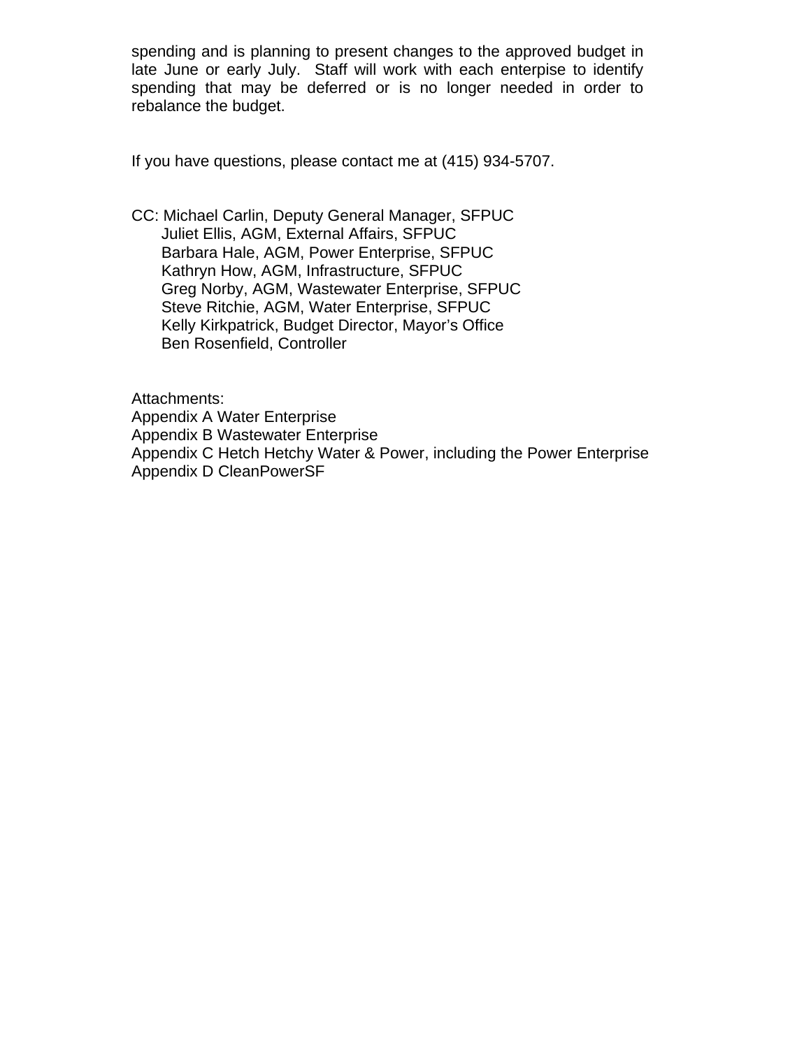spending and is planning to present changes to the approved budget in late June or early July. Staff will work with each enterpise to identify spending that may be deferred or is no longer needed in order to rebalance the budget.

If you have questions, please contact me at (415) 934-5707.

CC: Michael Carlin, Deputy General Manager, SFPUC Juliet Ellis, AGM, External Affairs, SFPUC Barbara Hale, AGM, Power Enterprise, SFPUC Kathryn How, AGM, Infrastructure, SFPUC Greg Norby, AGM, Wastewater Enterprise, SFPUC Steve Ritchie, AGM, Water Enterprise, SFPUC Kelly Kirkpatrick, Budget Director, Mayor's Office Ben Rosenfield, Controller

Attachments: Appendix A Water Enterprise Appendix B Wastewater Enterprise Appendix C Hetch Hetchy Water & Power, including the Power Enterprise Appendix D CleanPowerSF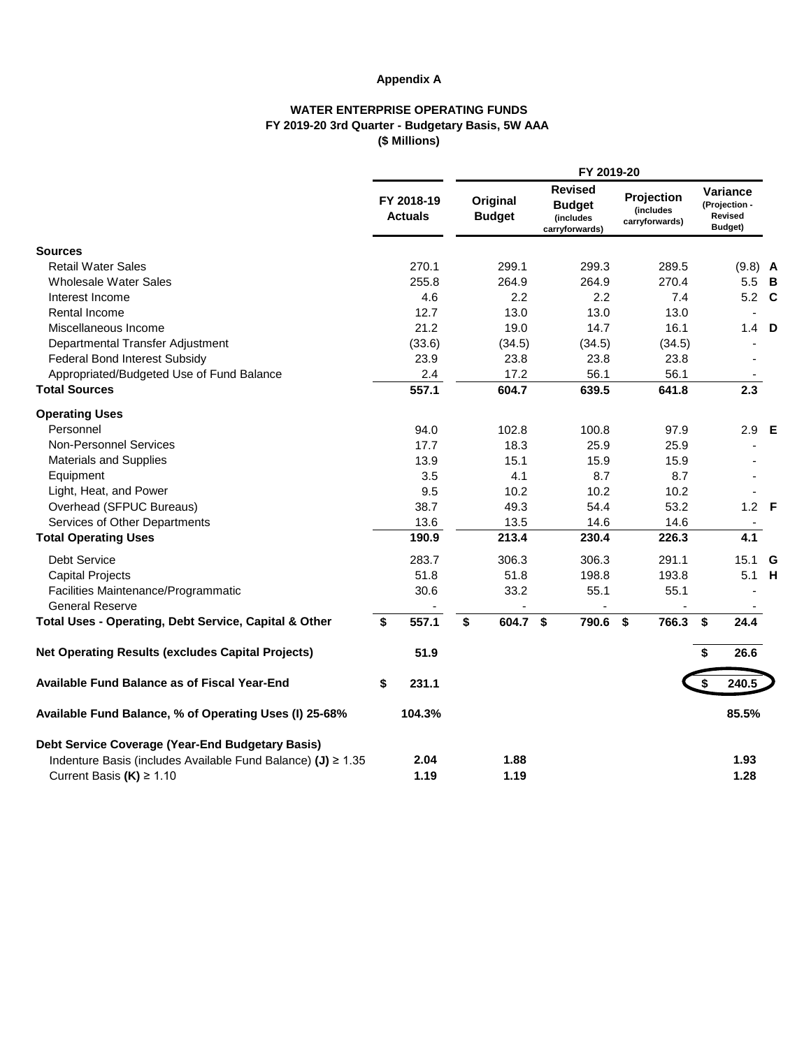# **Appendix A**

## **WATER ENTERPRISE OPERATING FUNDS FY 2019-20 3rd Quarter - Budgetary Basis, 5W AAA (\$ Millions)**

|                                                                                 |                              |                           | FY 2019-20                                                     |                                           |                                                 |  |
|---------------------------------------------------------------------------------|------------------------------|---------------------------|----------------------------------------------------------------|-------------------------------------------|-------------------------------------------------|--|
|                                                                                 | FY 2018-19<br><b>Actuals</b> | Original<br><b>Budget</b> | <b>Revised</b><br><b>Budget</b><br>(includes<br>carryforwards) | Projection<br>(includes<br>carryforwards) | Variance<br>(Projection -<br>Revised<br>Budget) |  |
| <b>Sources</b>                                                                  |                              |                           |                                                                |                                           |                                                 |  |
| <b>Retail Water Sales</b>                                                       | 270.1                        | 299.1                     | 299.3                                                          | 289.5                                     | $(9.8)$ A                                       |  |
| <b>Wholesale Water Sales</b>                                                    | 255.8                        | 264.9                     | 264.9                                                          | 270.4                                     | 5.5 B                                           |  |
| Interest Income                                                                 | 4.6                          | 2.2                       | 2.2                                                            | 7.4                                       | 5.2 C                                           |  |
| Rental Income                                                                   | 12.7                         | 13.0                      | 13.0                                                           | 13.0                                      |                                                 |  |
| Miscellaneous Income                                                            | 21.2                         | 19.0                      | 14.7                                                           | 16.1                                      | $1.4$ D                                         |  |
| Departmental Transfer Adjustment                                                | (33.6)                       | (34.5)                    | (34.5)                                                         | (34.5)                                    |                                                 |  |
| <b>Federal Bond Interest Subsidy</b>                                            | 23.9                         | 23.8                      | 23.8                                                           | 23.8                                      |                                                 |  |
| Appropriated/Budgeted Use of Fund Balance                                       | 2.4                          | 17.2                      | 56.1                                                           | 56.1                                      |                                                 |  |
| <b>Total Sources</b>                                                            | 557.1                        | 604.7                     | 639.5                                                          | 641.8                                     | 2.3                                             |  |
| <b>Operating Uses</b>                                                           |                              |                           |                                                                |                                           |                                                 |  |
| Personnel                                                                       | 94.0                         | 102.8                     | 100.8                                                          | 97.9                                      | 2.9 E                                           |  |
| Non-Personnel Services                                                          | 17.7                         | 18.3                      | 25.9                                                           | 25.9                                      |                                                 |  |
| <b>Materials and Supplies</b>                                                   | 13.9                         | 15.1                      | 15.9                                                           | 15.9                                      |                                                 |  |
| Equipment                                                                       | 3.5                          | 4.1                       | 8.7                                                            | 8.7                                       |                                                 |  |
| Light, Heat, and Power                                                          | 9.5                          | 10.2                      | 10.2                                                           | 10.2                                      |                                                 |  |
| Overhead (SFPUC Bureaus)                                                        | 38.7                         | 49.3                      | 54.4                                                           | 53.2                                      | $1.2$ F                                         |  |
| Services of Other Departments                                                   | 13.6                         | 13.5                      | 14.6                                                           | 14.6                                      |                                                 |  |
| <b>Total Operating Uses</b>                                                     | 190.9                        | 213.4                     | 230.4                                                          | 226.3                                     | 4.1                                             |  |
| <b>Debt Service</b>                                                             | 283.7                        | 306.3                     | 306.3                                                          | 291.1                                     | 15.1 G                                          |  |
| <b>Capital Projects</b>                                                         | 51.8                         | 51.8                      | 198.8                                                          | 193.8                                     | 5.1 H                                           |  |
| Facilities Maintenance/Programmatic                                             | 30.6                         | 33.2                      | 55.1                                                           | 55.1                                      |                                                 |  |
| <b>General Reserve</b><br>Total Uses - Operating, Debt Service, Capital & Other | \$<br>557.1                  | \$<br>604.7 \$            | 790.6                                                          | \$<br>766.3                               | \$<br>24.4                                      |  |
| <b>Net Operating Results (excludes Capital Projects)</b>                        | 51.9                         |                           |                                                                |                                           | \$<br>26.6                                      |  |
|                                                                                 |                              |                           |                                                                |                                           |                                                 |  |
| <b>Available Fund Balance as of Fiscal Year-End</b>                             | \$<br>231.1                  |                           |                                                                |                                           | 240.5                                           |  |
| Available Fund Balance, % of Operating Uses (I) 25-68%                          | 104.3%                       |                           |                                                                |                                           | 85.5%                                           |  |
| Debt Service Coverage (Year-End Budgetary Basis)                                |                              |                           |                                                                |                                           |                                                 |  |
| Indenture Basis (includes Available Fund Balance) (J) ≥ 1.35                    | 2.04                         | 1.88                      |                                                                |                                           | 1.93                                            |  |
| Current Basis $(K) \ge 1.10$                                                    | 1.19                         | 1.19                      |                                                                |                                           | 1.28                                            |  |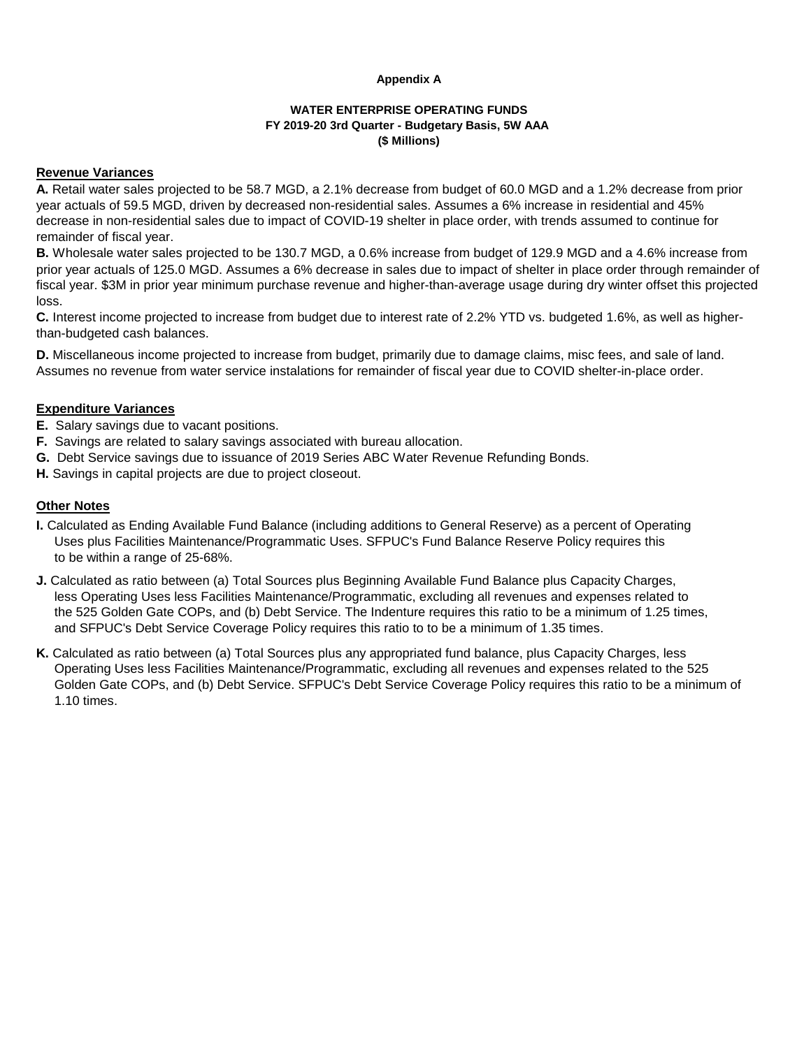### **Appendix A**

# **WATER ENTERPRISE OPERATING FUNDS FY 2019-20 3rd Quarter - Budgetary Basis, 5W AAA (\$ Millions)**

## **Revenue Variances**

**A.** Retail water sales projected to be 58.7 MGD, a 2.1% decrease from budget of 60.0 MGD and a 1.2% decrease from prior year actuals of 59.5 MGD, driven by decreased non-residential sales. Assumes a 6% increase in residential and 45% decrease in non-residential sales due to impact of COVID-19 shelter in place order, with trends assumed to continue for remainder of fiscal year.

**B.** Wholesale water sales projected to be 130.7 MGD, a 0.6% increase from budget of 129.9 MGD and a 4.6% increase from prior year actuals of 125.0 MGD. Assumes a 6% decrease in sales due to impact of shelter in place order through remainder of fiscal year. \$3M in prior year minimum purchase revenue and higher-than-average usage during dry winter offset this projected loss.

**C.** Interest income projected to increase from budget due to interest rate of 2.2% YTD vs. budgeted 1.6%, as well as higherthan-budgeted cash balances.

**D.** Miscellaneous income projected to increase from budget, primarily due to damage claims, misc fees, and sale of land. Assumes no revenue from water service instalations for remainder of fiscal year due to COVID shelter-in-place order.

# **Expenditure Variances**

- **E.** Salary savings due to vacant positions.
- **F.** Savings are related to salary savings associated with bureau allocation.
- **G.** Debt Service savings due to issuance of 2019 Series ABC Water Revenue Refunding Bonds.
- **H.** Savings in capital projects are due to project closeout.

# **Other Notes**

- **I.** Calculated as Ending Available Fund Balance (including additions to General Reserve) as a percent of Operating Uses plus Facilities Maintenance/Programmatic Uses. SFPUC's Fund Balance Reserve Policy requires this to be within a range of 25-68%.
- **J.** Calculated as ratio between (a) Total Sources plus Beginning Available Fund Balance plus Capacity Charges, less Operating Uses less Facilities Maintenance/Programmatic, excluding all revenues and expenses related to the 525 Golden Gate COPs, and (b) Debt Service. The Indenture requires this ratio to be a minimum of 1.25 times, and SFPUC's Debt Service Coverage Policy requires this ratio to to be a minimum of 1.35 times.
- **K.** Calculated as ratio between (a) Total Sources plus any appropriated fund balance, plus Capacity Charges, less Operating Uses less Facilities Maintenance/Programmatic, excluding all revenues and expenses related to the 525 Golden Gate COPs, and (b) Debt Service. SFPUC's Debt Service Coverage Policy requires this ratio to be a minimum of 1.10 times.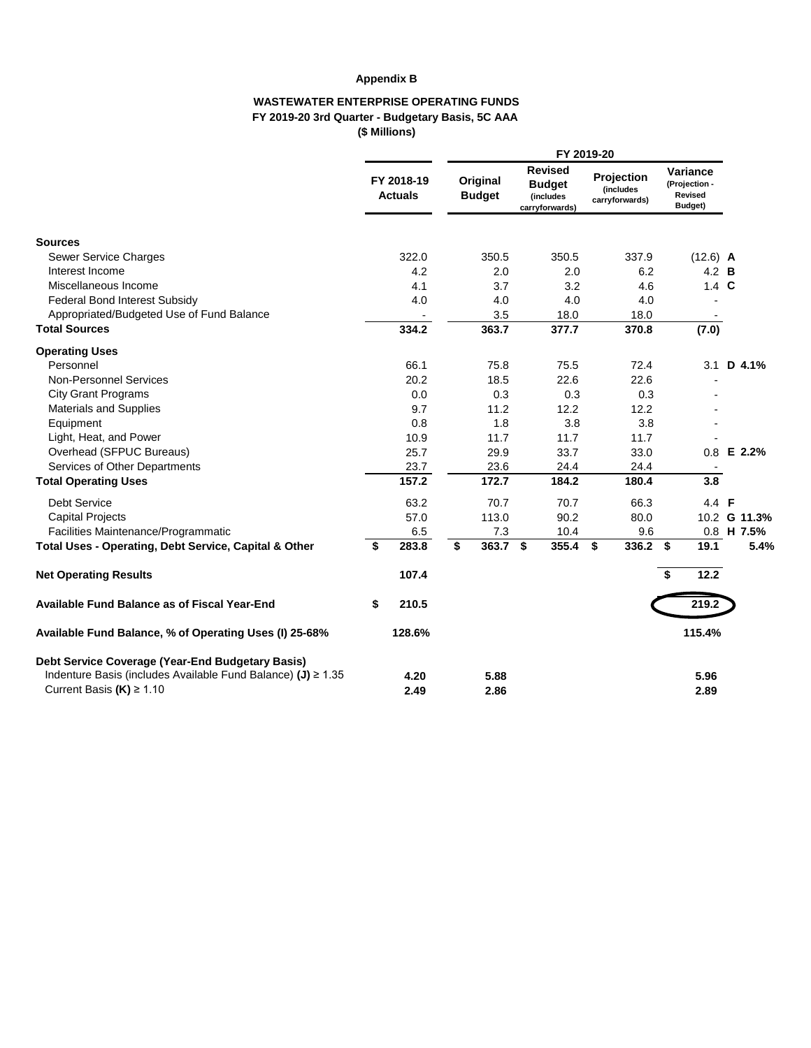# **Appendix B**

## **WASTEWATER ENTERPRISE OPERATING FUNDS FY 2019-20 3rd Quarter - Budgetary Basis, 5C AAA (\$ Millions)**

|                                                                                              |                              | FY 2019-20                |                                                                |                                           |    |                                                 |              |  |  |  |
|----------------------------------------------------------------------------------------------|------------------------------|---------------------------|----------------------------------------------------------------|-------------------------------------------|----|-------------------------------------------------|--------------|--|--|--|
|                                                                                              | FY 2018-19<br><b>Actuals</b> | Original<br><b>Budget</b> | <b>Revised</b><br><b>Budget</b><br>(includes<br>carryforwards) | Projection<br>(includes<br>carryforwards) |    | Variance<br>(Projection -<br>Revised<br>Budget) |              |  |  |  |
| <b>Sources</b>                                                                               |                              |                           |                                                                |                                           |    |                                                 |              |  |  |  |
| Sewer Service Charges                                                                        | 322.0                        | 350.5                     | 350.5                                                          | 337.9                                     |    | $(12.6)$ A                                      |              |  |  |  |
| Interest Income                                                                              | 4.2                          | 2.0                       | 2.0                                                            | 6.2                                       |    | 4.2 <b>B</b>                                    |              |  |  |  |
| Miscellaneous Income                                                                         | 4.1                          | 3.7                       | 3.2                                                            | 4.6                                       |    | $1.4\text{ C}$                                  |              |  |  |  |
| <b>Federal Bond Interest Subsidy</b>                                                         | 4.0                          | 4.0                       | 4.0                                                            | 4.0                                       |    |                                                 |              |  |  |  |
| Appropriated/Budgeted Use of Fund Balance                                                    |                              | 3.5                       | 18.0                                                           | 18.0                                      |    |                                                 |              |  |  |  |
| <b>Total Sources</b>                                                                         | 334.2                        | 363.7                     | 377.7                                                          | 370.8                                     |    | (7.0)                                           |              |  |  |  |
| <b>Operating Uses</b>                                                                        |                              |                           |                                                                |                                           |    |                                                 |              |  |  |  |
| Personnel                                                                                    | 66.1                         | 75.8                      | 75.5                                                           | 72.4                                      |    | 3.1                                             | D 4.1%       |  |  |  |
| <b>Non-Personnel Services</b>                                                                | 20.2                         | 18.5                      | 22.6                                                           | 22.6                                      |    |                                                 |              |  |  |  |
| <b>City Grant Programs</b>                                                                   | 0.0                          | 0.3                       | 0.3                                                            | 0.3                                       |    |                                                 |              |  |  |  |
| Materials and Supplies                                                                       | 9.7                          | 11.2                      | 12.2                                                           | 12.2                                      |    |                                                 |              |  |  |  |
| Equipment                                                                                    | 0.8                          | 1.8                       | 3.8                                                            | 3.8                                       |    |                                                 |              |  |  |  |
| Light, Heat, and Power                                                                       | 10.9                         | 11.7                      | 11.7                                                           | 11.7                                      |    |                                                 |              |  |  |  |
| Overhead (SFPUC Bureaus)                                                                     | 25.7                         | 29.9                      | 33.7                                                           | 33.0                                      |    | 0.8                                             | E 2.2%       |  |  |  |
| Services of Other Departments                                                                | 23.7                         | 23.6                      | 24.4                                                           | 24.4                                      |    |                                                 |              |  |  |  |
| <b>Total Operating Uses</b>                                                                  | 157.2                        | 172.7                     | 184.2                                                          | 180.4                                     |    | 3.8                                             |              |  |  |  |
| <b>Debt Service</b>                                                                          | 63.2                         | 70.7                      | 70.7                                                           | 66.3                                      |    | 4.4 F                                           |              |  |  |  |
| <b>Capital Projects</b>                                                                      | 57.0                         | 113.0                     | 90.2                                                           | 80.0                                      |    |                                                 | 10.2 G 11.3% |  |  |  |
| Facilities Maintenance/Programmatic                                                          | 6.5                          | 7.3                       | 10.4                                                           | 9.6                                       |    |                                                 | 0.8 H 7.5%   |  |  |  |
| Total Uses - Operating, Debt Service, Capital & Other                                        | \$<br>283.8                  | \$<br>363.7               | \$<br>355.4                                                    | $\sqrt{5}$<br>$336.2$ \$                  |    | 19.1                                            | 5.4%         |  |  |  |
| <b>Net Operating Results</b>                                                                 | 107.4                        |                           |                                                                |                                           | \$ | 12.2                                            |              |  |  |  |
| Available Fund Balance as of Fiscal Year-End                                                 | \$<br>210.5                  |                           |                                                                |                                           |    | 219.2                                           |              |  |  |  |
| Available Fund Balance, % of Operating Uses (I) 25-68%                                       | 128.6%                       |                           |                                                                |                                           |    | 115.4%                                          |              |  |  |  |
| Debt Service Coverage (Year-End Budgetary Basis)                                             |                              |                           |                                                                |                                           |    |                                                 |              |  |  |  |
| Indenture Basis (includes Available Fund Balance) (J) ≥ 1.35<br>Current Basis $(K) \ge 1.10$ | 4.20<br>2.49                 | 5.88<br>2.86              |                                                                |                                           |    | 5.96<br>2.89                                    |              |  |  |  |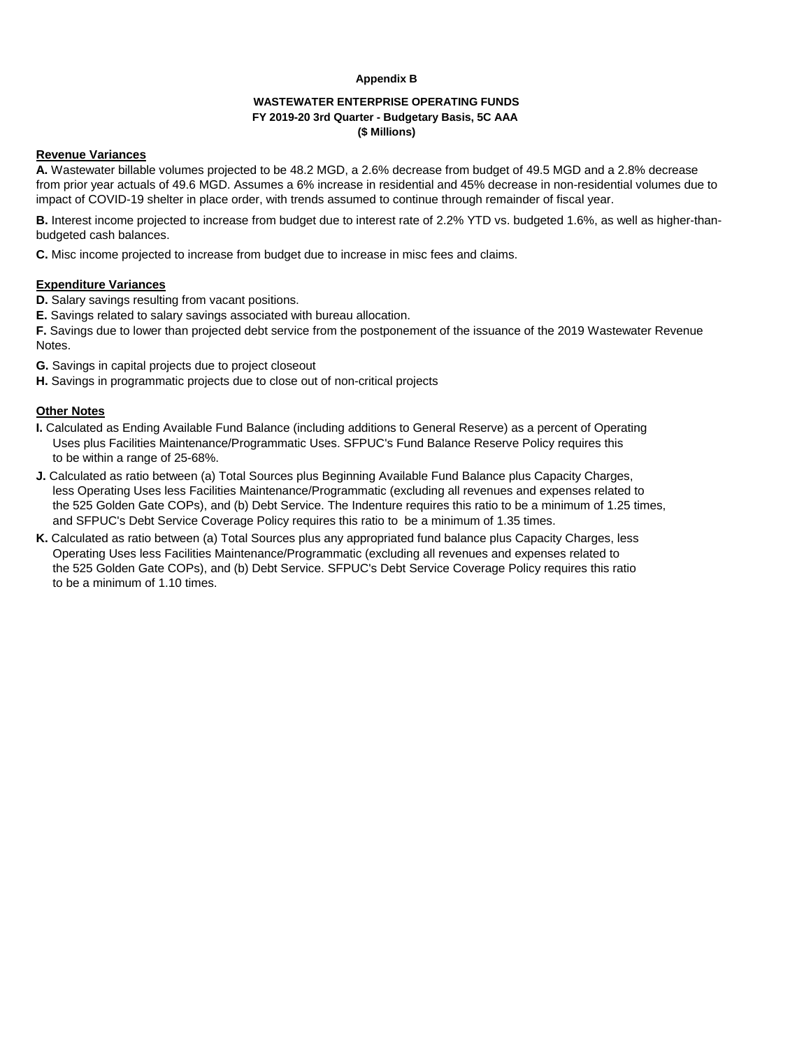#### **Appendix B**

### **WASTEWATER ENTERPRISE OPERATING FUNDS FY 2019-20 3rd Quarter - Budgetary Basis, 5C AAA (\$ Millions)**

## **Revenue Variances**

**A.** Wastewater billable volumes projected to be 48.2 MGD, a 2.6% decrease from budget of 49.5 MGD and a 2.8% decrease from prior year actuals of 49.6 MGD. Assumes a 6% increase in residential and 45% decrease in non-residential volumes due to impact of COVID-19 shelter in place order, with trends assumed to continue through remainder of fiscal year.

**B.** Interest income projected to increase from budget due to interest rate of 2.2% YTD vs. budgeted 1.6%, as well as higher-thanbudgeted cash balances.

**C.** Misc income projected to increase from budget due to increase in misc fees and claims.

## **Expenditure Variances**

- **D.** Salary savings resulting from vacant positions.
- **E.** Savings related to salary savings associated with bureau allocation.

**F.** Savings due to lower than projected debt service from the postponement of the issuance of the 2019 Wastewater Revenue Notes.

- **G.** Savings in capital projects due to project closeout
- **H.** Savings in programmatic projects due to close out of non-critical projects

### **Other Notes**

- **I.** Calculated as Ending Available Fund Balance (including additions to General Reserve) as a percent of Operating Uses plus Facilities Maintenance/Programmatic Uses. SFPUC's Fund Balance Reserve Policy requires this to be within a range of 25-68%.
- **J.** Calculated as ratio between (a) Total Sources plus Beginning Available Fund Balance plus Capacity Charges, less Operating Uses less Facilities Maintenance/Programmatic (excluding all revenues and expenses related to the 525 Golden Gate COPs), and (b) Debt Service. The Indenture requires this ratio to be a minimum of 1.25 times, and SFPUC's Debt Service Coverage Policy requires this ratio to be a minimum of 1.35 times.
- **K.** Calculated as ratio between (a) Total Sources plus any appropriated fund balance plus Capacity Charges, less Operating Uses less Facilities Maintenance/Programmatic (excluding all revenues and expenses related to the 525 Golden Gate COPs), and (b) Debt Service. SFPUC's Debt Service Coverage Policy requires this ratio to be a minimum of 1.10 times.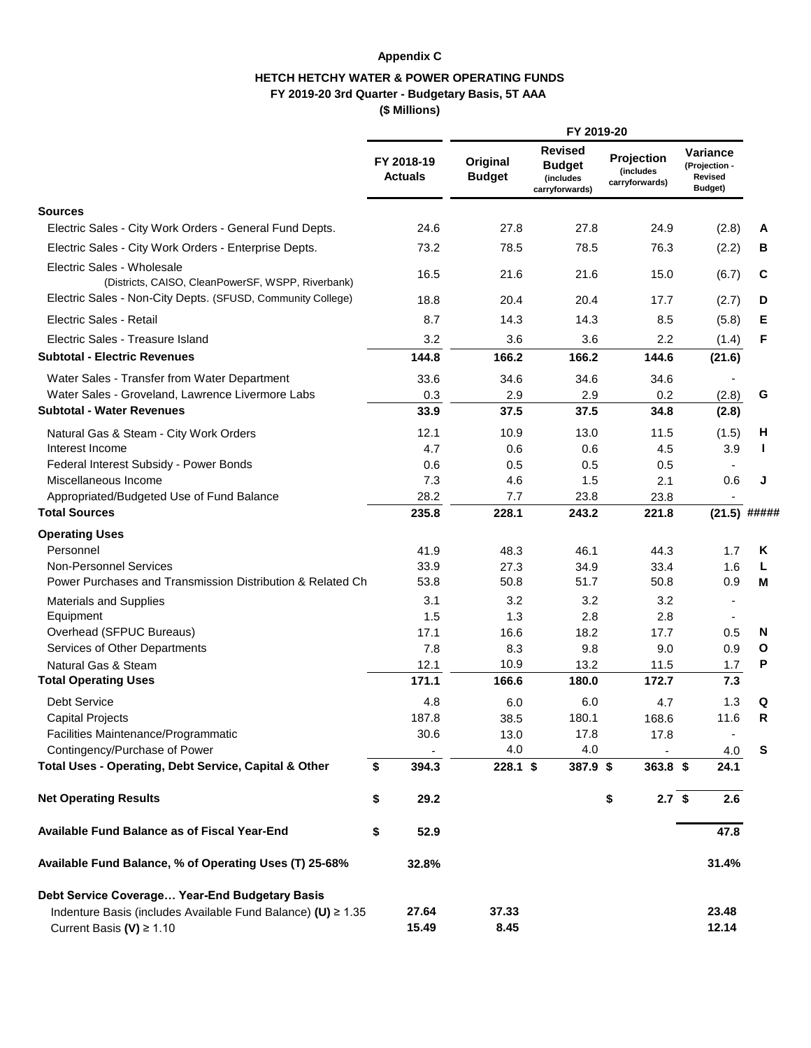# **Appendix C**

# **HETCH HETCHY WATER & POWER OPERATING FUNDS FY 2019-20 3rd Quarter - Budgetary Basis, 5T AAA (\$ Millions)**

|                                                                                             |                              |                           | FY 2019-20                                                     |                                                          |                                                      |                |
|---------------------------------------------------------------------------------------------|------------------------------|---------------------------|----------------------------------------------------------------|----------------------------------------------------------|------------------------------------------------------|----------------|
|                                                                                             | FY 2018-19<br><b>Actuals</b> | Original<br><b>Budget</b> | <b>Revised</b><br><b>Budget</b><br>(includes<br>carryforwards) | Projection<br><i><b>(includes)</b></i><br>carryforwards) | Variance<br>(Projection -<br>Revised<br>Budget)      |                |
| <b>Sources</b>                                                                              |                              |                           |                                                                |                                                          |                                                      |                |
| Electric Sales - City Work Orders - General Fund Depts.                                     | 24.6                         | 27.8                      | 27.8                                                           | 24.9                                                     | (2.8)                                                | A              |
| Electric Sales - City Work Orders - Enterprise Depts.                                       | 73.2                         | 78.5                      | 78.5                                                           | 76.3                                                     | (2.2)                                                | В              |
| Electric Sales - Wholesale<br>(Districts, CAISO, CleanPowerSF, WSPP, Riverbank)             | 16.5                         | 21.6                      | 21.6                                                           | 15.0                                                     | (6.7)                                                | C              |
| Electric Sales - Non-City Depts. (SFUSD, Community College)                                 | 18.8                         | 20.4                      | 20.4                                                           | 17.7                                                     | (2.7)                                                | D              |
| Electric Sales - Retail                                                                     | 8.7                          | 14.3                      | 14.3                                                           | 8.5                                                      | (5.8)                                                | Е              |
| Electric Sales - Treasure Island                                                            | 3.2                          | 3.6                       | 3.6                                                            | 2.2                                                      | (1.4)                                                | F              |
| <b>Subtotal - Electric Revenues</b>                                                         | 144.8                        | 166.2                     | 166.2                                                          | 144.6                                                    | (21.6)                                               |                |
| Water Sales - Transfer from Water Department                                                | 33.6                         | 34.6                      | 34.6                                                           | 34.6                                                     |                                                      |                |
| Water Sales - Groveland, Lawrence Livermore Labs                                            | 0.3                          | 2.9                       | 2.9                                                            | 0.2                                                      | (2.8)                                                | G              |
| <b>Subtotal - Water Revenues</b>                                                            | 33.9                         | 37.5                      | 37.5                                                           | 34.8                                                     | (2.8)                                                |                |
| Natural Gas & Steam - City Work Orders                                                      | 12.1                         | 10.9                      | 13.0                                                           | 11.5                                                     | (1.5)                                                | H              |
| Interest Income                                                                             | 4.7                          | 0.6                       | 0.6                                                            | 4.5                                                      | 3.9                                                  | J.             |
| Federal Interest Subsidy - Power Bonds                                                      | 0.6                          | 0.5                       | 0.5                                                            | 0.5                                                      | $\blacksquare$                                       |                |
| Miscellaneous Income                                                                        | 7.3                          | 4.6                       | 1.5                                                            | 2.1                                                      | 0.6                                                  | J              |
| Appropriated/Budgeted Use of Fund Balance                                                   | 28.2                         | 7.7                       | 23.8                                                           | 23.8                                                     | $\blacksquare$                                       |                |
| <b>Total Sources</b>                                                                        | 235.8                        | 228.1                     | 243.2                                                          | 221.8                                                    |                                                      | $(21.5)$ ##### |
| <b>Operating Uses</b>                                                                       |                              |                           |                                                                |                                                          |                                                      |                |
| Personnel                                                                                   | 41.9                         | 48.3                      | 46.1                                                           | 44.3                                                     | 1.7                                                  | ĸ              |
| <b>Non-Personnel Services</b><br>Power Purchases and Transmission Distribution & Related Ch | 33.9<br>53.8                 | 27.3<br>50.8              | 34.9<br>51.7                                                   | 33.4<br>50.8                                             | 1.6                                                  | L              |
|                                                                                             | 3.1                          |                           | 3.2                                                            |                                                          | 0.9                                                  | м              |
| <b>Materials and Supplies</b><br>Equipment                                                  | 1.5                          | 3.2<br>1.3                | 2.8                                                            | 3.2<br>2.8                                               | $\overline{\phantom{a}}$<br>$\overline{\phantom{a}}$ |                |
| Overhead (SFPUC Bureaus)                                                                    | 17.1                         | 16.6                      | 18.2                                                           | 17.7                                                     | 0.5                                                  | N              |
| Services of Other Departments                                                               | 7.8                          | 8.3                       | 9.8                                                            | 9.0                                                      | 0.9                                                  | O              |
| Natural Gas & Steam                                                                         | 12.1                         | 10.9                      | 13.2                                                           | 11.5                                                     | 1.7                                                  | P              |
| <b>Total Operating Uses</b>                                                                 | 171.1                        | 166.6                     | 180.0                                                          | 172.7                                                    | 7.3                                                  |                |
| <b>Debt Service</b>                                                                         | 4.8                          | 6.0                       | 6.0                                                            | 4.7                                                      | 1.3                                                  | Q              |
| <b>Capital Projects</b>                                                                     | 187.8                        | 38.5                      | 180.1                                                          | 168.6                                                    | 11.6                                                 | R              |
| Facilities Maintenance/Programmatic                                                         | 30.6                         | 13.0                      | 17.8                                                           | 17.8                                                     | $\overline{\phantom{a}}$                             |                |
| Contingency/Purchase of Power                                                               |                              | 4.0                       | 4.0                                                            |                                                          | 4.0                                                  | s              |
| Total Uses - Operating, Debt Service, Capital & Other                                       | \$<br>394.3                  | 228.1 \$                  | 387.9 \$                                                       | $363.8$ \$                                               | 24.1                                                 |                |
| <b>Net Operating Results</b>                                                                | \$<br>29.2                   |                           |                                                                | $2.7$ \$<br>\$                                           | 2.6                                                  |                |
| Available Fund Balance as of Fiscal Year-End                                                | \$<br>52.9                   |                           |                                                                |                                                          | 47.8                                                 |                |
| Available Fund Balance, % of Operating Uses (T) 25-68%                                      | 32.8%                        |                           |                                                                |                                                          | 31.4%                                                |                |
| Debt Service Coverage Year-End Budgetary Basis                                              |                              |                           |                                                                |                                                          |                                                      |                |
| Indenture Basis (includes Available Fund Balance) (U) ≥ 1.35                                | 27.64                        | 37.33                     |                                                                |                                                          | 23.48                                                |                |
| Current Basis (V) $\geq 1.10$                                                               | 15.49                        | 8.45                      |                                                                |                                                          | 12.14                                                |                |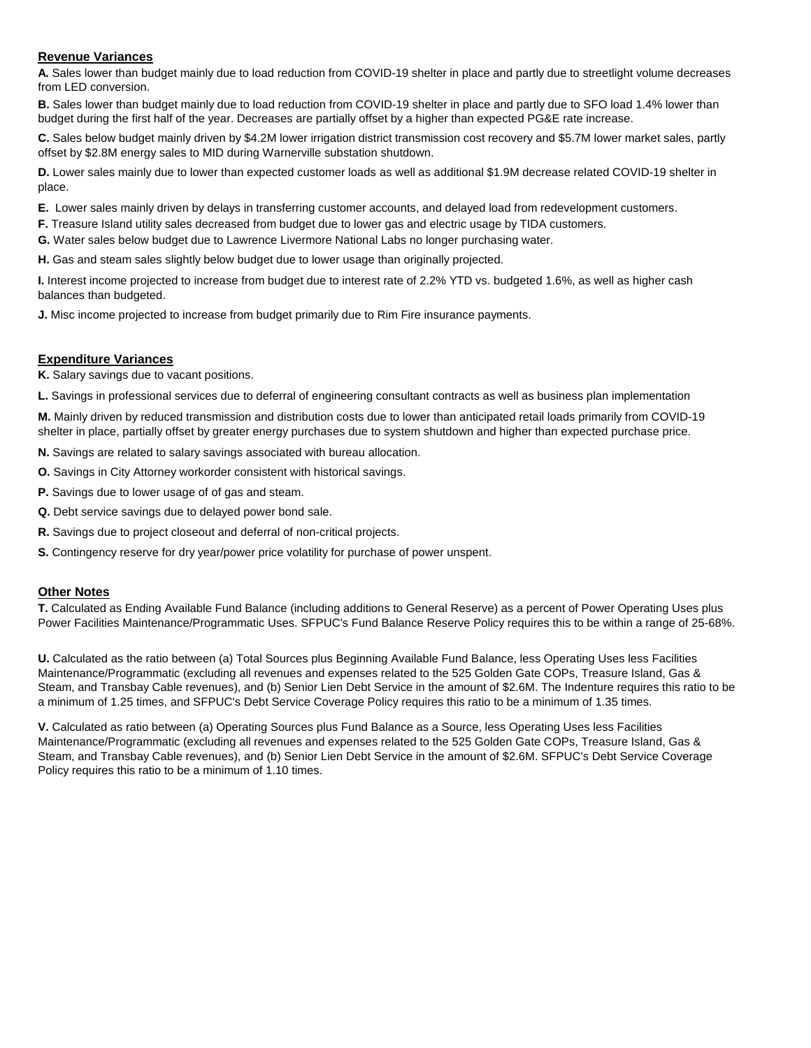### **Revenue Variances**

**A.** Sales lower than budget mainly due to load reduction from COVID-19 shelter in place and partly due to streetlight volume decreases from LED conversion.

**B.** Sales lower than budget mainly due to load reduction from COVID-19 shelter in place and partly due to SFO load 1.4% lower than budget during the first half of the year. Decreases are partially offset by a higher than expected PG&E rate increase.

**C.** Sales below budget mainly driven by \$4.2M lower irrigation district transmission cost recovery and \$5.7M lower market sales, partly offset by \$2.8M energy sales to MID during Warnerville substation shutdown.

**D.** Lower sales mainly due to lower than expected customer loads as well as additional \$1.9M decrease related COVID-19 shelter in place.

**E.** Lower sales mainly driven by delays in transferring customer accounts, and delayed load from redevelopment customers.

**F.** Treasure Island utility sales decreased from budget due to lower gas and electric usage by TIDA customers.

**G.** Water sales below budget due to Lawrence Livermore National Labs no longer purchasing water.

**H.** Gas and steam sales slightly below budget due to lower usage than originally projected.

**I.** Interest income projected to increase from budget due to interest rate of 2.2% YTD vs. budgeted 1.6%, as well as higher cash balances than budgeted.

**J.** Misc income projected to increase from budget primarily due to Rim Fire insurance payments.

### **Expenditure Variances**

**K.** Salary savings due to vacant positions.

**L.** Savings in professional services due to deferral of engineering consultant contracts as well as business plan implementation

**M.** Mainly driven by reduced transmission and distribution costs due to lower than anticipated retail loads primarily from COVID-19 shelter in place, partially offset by greater energy purchases due to system shutdown and higher than expected purchase price.

**N.** Savings are related to salary savings associated with bureau allocation.

**O.** Savings in City Attorney workorder consistent with historical savings.

**P.** Savings due to lower usage of of gas and steam.

**Q.** Debt service savings due to delayed power bond sale.

**R.** Savings due to project closeout and deferral of non-critical projects.

**S.** Contingency reserve for dry year/power price volatility for purchase of power unspent.

## **Other Notes**

**T.** Calculated as Ending Available Fund Balance (including additions to General Reserve) as a percent of Power Operating Uses plus Power Facilities Maintenance/Programmatic Uses. SFPUC's Fund Balance Reserve Policy requires this to be within a range of 25-68%.

**U.** Calculated as the ratio between (a) Total Sources plus Beginning Available Fund Balance, less Operating Uses less Facilities Maintenance/Programmatic (excluding all revenues and expenses related to the 525 Golden Gate COPs, Treasure Island, Gas & Steam, and Transbay Cable revenues), and (b) Senior Lien Debt Service in the amount of \$2.6M. The Indenture requires this ratio to be a minimum of 1.25 times, and SFPUC's Debt Service Coverage Policy requires this ratio to be a minimum of 1.35 times.

**V.** Calculated as ratio between (a) Operating Sources plus Fund Balance as a Source, less Operating Uses less Facilities Maintenance/Programmatic (excluding all revenues and expenses related to the 525 Golden Gate COPs, Treasure Island, Gas & Steam, and Transbay Cable revenues), and (b) Senior Lien Debt Service in the amount of \$2.6M. SFPUC's Debt Service Coverage Policy requires this ratio to be a minimum of 1.10 times.